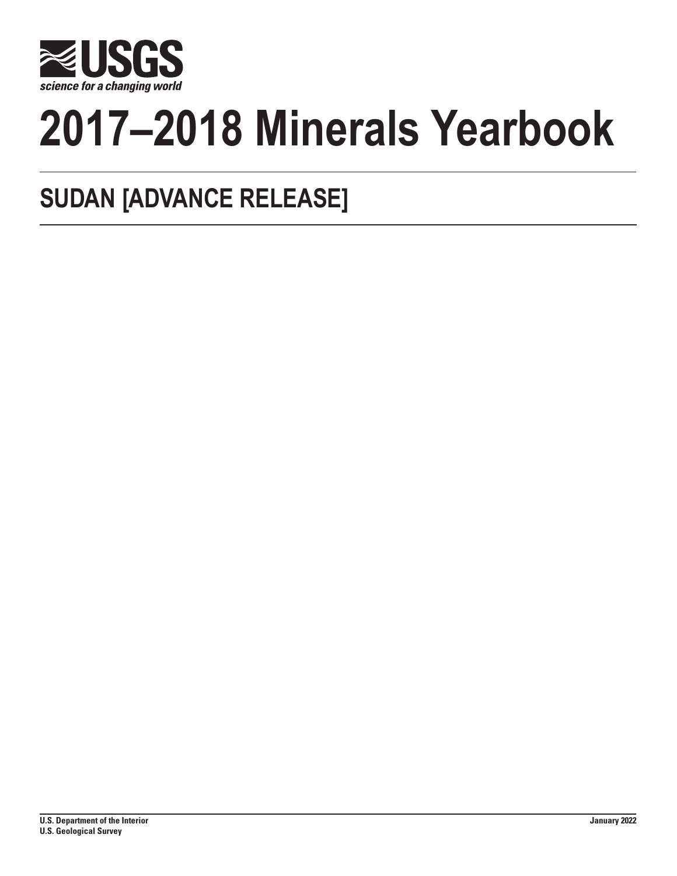

# **2017–2018 Minerals Yearbook**

## **SUDAN [ADVANCE RELEASE]**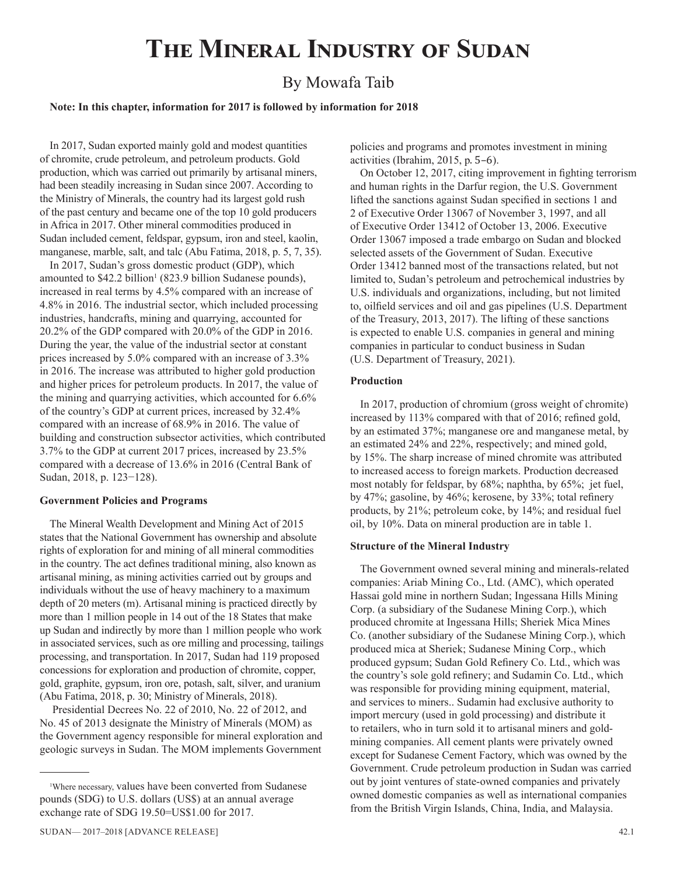## **The Mineral Industry of Sudan**

### By Mowafa Taib

#### **Note: In this chapter, information for 2017 is followed by information for 2018**

In 2017, Sudan exported mainly gold and modest quantities of chromite, crude petroleum, and petroleum products. Gold production, which was carried out primarily by artisanal miners, had been steadily increasing in Sudan since 2007. According to the Ministry of Minerals, the country had its largest gold rush of the past century and became one of the top 10 gold producers in Africa in 2017. Other mineral commodities produced in Sudan included cement, feldspar, gypsum, iron and steel, kaolin, manganese, marble, salt, and talc (Abu Fatima, 2018, p. 5, 7, 35).

In 2017, Sudan's gross domestic product (GDP), which amounted to  $$42.2$  billion<sup>1</sup> (823.9 billion Sudanese pounds), increased in real terms by 4.5% compared with an increase of 4.8% in 2016. The industrial sector, which included processing industries, handcrafts, mining and quarrying, accounted for 20.2% of the GDP compared with 20.0% of the GDP in 2016. During the year, the value of the industrial sector at constant prices increased by 5.0% compared with an increase of 3.3% in 2016. The increase was attributed to higher gold production and higher prices for petroleum products. In 2017, the value of the mining and quarrying activities, which accounted for 6.6% of the country's GDP at current prices, increased by 32.4% compared with an increase of 68.9% in 2016. The value of building and construction subsector activities, which contributed 3.7% to the GDP at current 2017 prices, increased by 23.5% compared with a decrease of 13.6% in 2016 (Central Bank of Sudan, 2018, p. 123−128).

#### **Government Policies and Programs**

The Mineral Wealth Development and Mining Act of 2015 states that the National Government has ownership and absolute rights of exploration for and mining of all mineral commodities in the country. The act defines traditional mining, also known as artisanal mining, as mining activities carried out by groups and individuals without the use of heavy machinery to a maximum depth of 20 meters (m). Artisanal mining is practiced directly by more than 1 million people in 14 out of the 18 States that make up Sudan and indirectly by more than 1 million people who work in associated services, such as ore milling and processing, tailings processing, and transportation. In 2017, Sudan had 119 proposed concessions for exploration and production of chromite, copper, gold, graphite, gypsum, iron ore, potash, salt, silver, and uranium (Abu Fatima, 2018, p. 30; Ministry of Minerals, 2018).

 Presidential Decrees No. 22 of 2010, No. 22 of 2012, and No. 45 of 2013 designate the Ministry of Minerals (MOM) as the Government agency responsible for mineral exploration and geologic surveys in Sudan. The MOM implements Government

policies and programs and promotes investment in mining activities (Ibrahim, 2015, p. 5–6).

On October 12, 2017, citing improvement in fighting terrorism and human rights in the Darfur region, the U.S. Government lifted the sanctions against Sudan specified in sections 1 and 2 of Executive Order 13067 of November 3, 1997, and all of Executive Order 13412 of October 13, 2006. Executive Order 13067 imposed a trade embargo on Sudan and blocked selected assets of the Government of Sudan. Executive Order 13412 banned most of the transactions related, but not limited to, Sudan's petroleum and petrochemical industries by U.S. individuals and organizations, including, but not limited to, oilfield services and oil and gas pipelines (U.S. Department of the Treasury, 2013, 2017). The lifting of these sanctions is expected to enable U.S. companies in general and mining companies in particular to conduct business in Sudan (U.S. Department of Treasury, 2021).

#### **Production**

In 2017, production of chromium (gross weight of chromite) increased by 113% compared with that of 2016; refined gold, by an estimated 37%; manganese ore and manganese metal, by an estimated 24% and 22%, respectively; and mined gold, by 15%. The sharp increase of mined chromite was attributed to increased access to foreign markets. Production decreased most notably for feldspar, by 68%; naphtha, by 65%; jet fuel, by 47%; gasoline, by 46%; kerosene, by 33%; total refinery products, by 21%; petroleum coke, by 14%; and residual fuel oil, by 10%. Data on mineral production are in table 1.

#### **Structure of the Mineral Industry**

The Government owned several mining and minerals-related companies: Ariab Mining Co., Ltd. (AMC), which operated Hassai gold mine in northern Sudan; Ingessana Hills Mining Corp. (a subsidiary of the Sudanese Mining Corp.), which produced chromite at Ingessana Hills; Sheriek Mica Mines Co. (another subsidiary of the Sudanese Mining Corp.), which produced mica at Sheriek; Sudanese Mining Corp., which produced gypsum; Sudan Gold Refinery Co. Ltd., which was the country's sole gold refinery; and Sudamin Co. Ltd., which was responsible for providing mining equipment, material, and services to miners.. Sudamin had exclusive authority to import mercury (used in gold processing) and distribute it to retailers, who in turn sold it to artisanal miners and goldmining companies. All cement plants were privately owned except for Sudanese Cement Factory, which was owned by the Government. Crude petroleum production in Sudan was carried out by joint ventures of state-owned companies and privately owned domestic companies as well as international companies from the British Virgin Islands, China, India, and Malaysia.

<sup>1</sup> Where necessary, values have been converted from Sudanese pounds (SDG) to U.S. dollars (US\$) at an annual average exchange rate of SDG 19.50=US\$1.00 for 2017.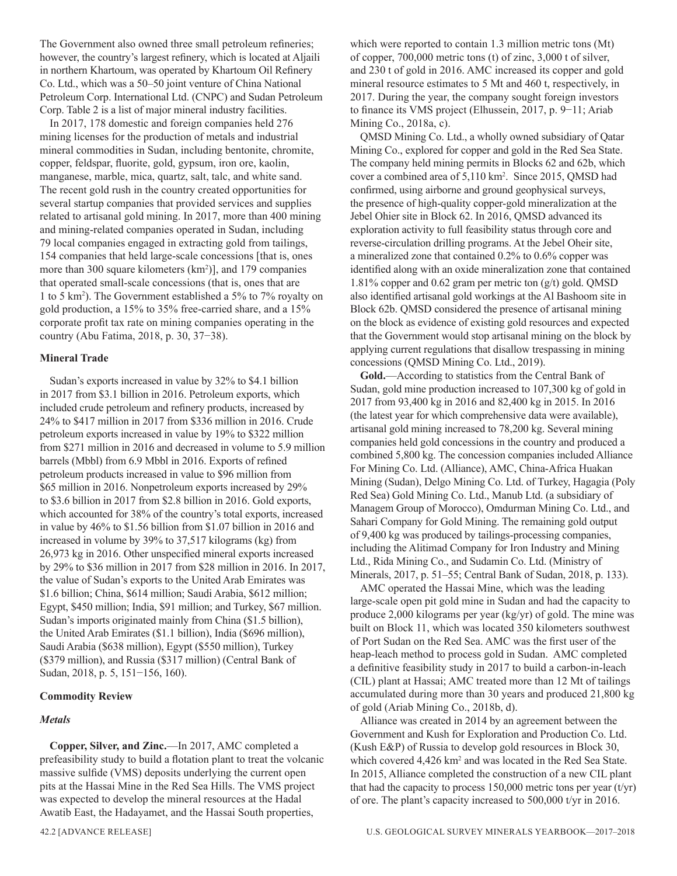The Government also owned three small petroleum refineries; however, the country's largest refinery, which is located at Aljaili in northern Khartoum, was operated by Khartoum Oil Refinery Co. Ltd., which was a 50–50 joint venture of China National Petroleum Corp. International Ltd. (CNPC) and Sudan Petroleum Corp. Table 2 is a list of major mineral industry facilities.

In 2017, 178 domestic and foreign companies held 276 mining licenses for the production of metals and industrial mineral commodities in Sudan, including bentonite, chromite, copper, feldspar, fluorite, gold, gypsum, iron ore, kaolin, manganese, marble, mica, quartz, salt, talc, and white sand. The recent gold rush in the country created opportunities for several startup companies that provided services and supplies related to artisanal gold mining. In 2017, more than 400 mining and mining-related companies operated in Sudan, including 79 local companies engaged in extracting gold from tailings, 154 companies that held large-scale concessions [that is, ones more than 300 square kilometers (km<sup>2</sup>)], and 179 companies that operated small-scale concessions (that is, ones that are 1 to 5 km2 ). The Government established a 5% to 7% royalty on gold production, a 15% to 35% free-carried share, and a 15% corporate profit tax rate on mining companies operating in the country (Abu Fatima, 2018, p. 30, 37−38).

#### **Mineral Trade**

Sudan's exports increased in value by 32% to \$4.1 billion in 2017 from \$3.1 billion in 2016. Petroleum exports, which included crude petroleum and refinery products, increased by 24% to \$417 million in 2017 from \$336 million in 2016. Crude petroleum exports increased in value by 19% to \$322 million from \$271 million in 2016 and decreased in volume to 5.9 million barrels (Mbbl) from 6.9 Mbbl in 2016. Exports of refined petroleum products increased in value to \$96 million from \$65 million in 2016. Nonpetroleum exports increased by 29% to \$3.6 billion in 2017 from \$2.8 billion in 2016. Gold exports, which accounted for 38% of the country's total exports, increased in value by 46% to \$1.56 billion from \$1.07 billion in 2016 and increased in volume by 39% to 37,517 kilograms (kg) from 26,973 kg in 2016. Other unspecified mineral exports increased by 29% to \$36 million in 2017 from \$28 million in 2016. In 2017, the value of Sudan's exports to the United Arab Emirates was \$1.6 billion; China, \$614 million; Saudi Arabia, \$612 million; Egypt, \$450 million; India, \$91 million; and Turkey, \$67 million. Sudan's imports originated mainly from China (\$1.5 billion), the United Arab Emirates (\$1.1 billion), India (\$696 million), Saudi Arabia (\$638 million), Egypt (\$550 million), Turkey (\$379 million), and Russia (\$317 million) (Central Bank of Sudan, 2018, p. 5, 151−156, 160).

#### **Commodity Review**

#### *Metals*

**Copper, Silver, and Zinc.**—In 2017, AMC completed a prefeasibility study to build a flotation plant to treat the volcanic massive sulfide (VMS) deposits underlying the current open pits at the Hassai Mine in the Red Sea Hills. The VMS project was expected to develop the mineral resources at the Hadal Awatib East, the Hadayamet, and the Hassai South properties,

which were reported to contain 1.3 million metric tons (Mt) of copper, 700,000 metric tons (t) of zinc, 3,000 t of silver, and 230 t of gold in 2016. AMC increased its copper and gold mineral resource estimates to 5 Mt and 460 t, respectively, in 2017. During the year, the company sought foreign investors to finance its VMS project (Elhussein, 2017, p. 9−11; Ariab Mining Co., 2018a, c).

QMSD Mining Co. Ltd., a wholly owned subsidiary of Qatar Mining Co., explored for copper and gold in the Red Sea State. The company held mining permits in Blocks 62 and 62b, which cover a combined area of 5,110 km2 . Since 2015, QMSD had confirmed, using airborne and ground geophysical surveys, the presence of high-quality copper-gold mineralization at the Jebel Ohier site in Block 62. In 2016, QMSD advanced its exploration activity to full feasibility status through core and reverse-circulation drilling programs. At the Jebel Oheir site, a mineralized zone that contained 0.2% to 0.6% copper was identified along with an oxide mineralization zone that contained 1.81% copper and 0.62 gram per metric ton  $(g/t)$  gold. QMSD also identified artisanal gold workings at the Al Bashoom site in Block 62b. QMSD considered the presence of artisanal mining on the block as evidence of existing gold resources and expected that the Government would stop artisanal mining on the block by applying current regulations that disallow trespassing in mining concessions (QMSD Mining Co. Ltd., 2019).

**Gold.**—According to statistics from the Central Bank of Sudan, gold mine production increased to 107,300 kg of gold in 2017 from 93,400 kg in 2016 and 82,400 kg in 2015. In 2016 (the latest year for which comprehensive data were available), artisanal gold mining increased to 78,200 kg. Several mining companies held gold concessions in the country and produced a combined 5,800 kg. The concession companies included Alliance For Mining Co. Ltd. (Alliance), AMC, China-Africa Huakan Mining (Sudan), Delgo Mining Co. Ltd. of Turkey, Hagagia (Poly Red Sea) Gold Mining Co. Ltd., Manub Ltd. (a subsidiary of Managem Group of Morocco), Omdurman Mining Co. Ltd., and Sahari Company for Gold Mining. The remaining gold output of 9,400 kg was produced by tailings-processing companies, including the Alitimad Company for Iron Industry and Mining Ltd., Rida Mining Co., and Sudamin Co. Ltd. (Ministry of Minerals, 2017, p. 51–55; Central Bank of Sudan, 2018, p. 133).

AMC operated the Hassai Mine, which was the leading large-scale open pit gold mine in Sudan and had the capacity to produce 2,000 kilograms per year (kg/yr) of gold. The mine was built on Block 11, which was located 350 kilometers southwest of Port Sudan on the Red Sea. AMC was the first user of the heap-leach method to process gold in Sudan. AMC completed a definitive feasibility study in 2017 to build a carbon-in-leach (CIL) plant at Hassai; AMC treated more than 12 Mt of tailings accumulated during more than 30 years and produced 21,800 kg of gold (Ariab Mining Co., 2018b, d).

Alliance was created in 2014 by an agreement between the Government and Kush for Exploration and Production Co. Ltd. (Kush E&P) of Russia to develop gold resources in Block 30, which covered 4,426 km<sup>2</sup> and was located in the Red Sea State. In 2015, Alliance completed the construction of a new CIL plant that had the capacity to process  $150,000$  metric tons per year (t/yr) of ore. The plant's capacity increased to 500,000 t/yr in 2016.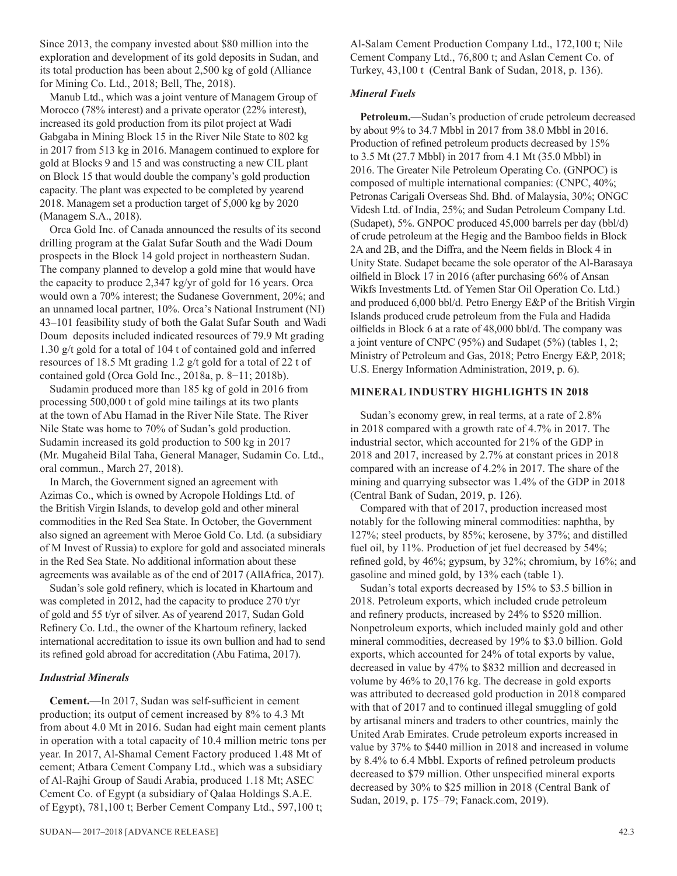Since 2013, the company invested about \$80 million into the exploration and development of its gold deposits in Sudan, and its total production has been about 2,500 kg of gold (Alliance for Mining Co. Ltd., 2018; Bell, The, 2018).

Manub Ltd., which was a joint venture of Managem Group of Morocco (78% interest) and a private operator (22% interest), increased its gold production from its pilot project at Wadi Gabgaba in Mining Block 15 in the River Nile State to 802 kg in 2017 from 513 kg in 2016. Managem continued to explore for gold at Blocks 9 and 15 and was constructing a new CIL plant on Block 15 that would double the company's gold production capacity. The plant was expected to be completed by yearend 2018. Managem set a production target of 5,000 kg by 2020 (Managem S.A., 2018).

Orca Gold Inc. of Canada announced the results of its second drilling program at the Galat Sufar South and the Wadi Doum prospects in the Block 14 gold project in northeastern Sudan. The company planned to develop a gold mine that would have the capacity to produce 2,347 kg/yr of gold for 16 years. Orca would own a 70% interest; the Sudanese Government, 20%; and an unnamed local partner, 10%. Orca's National Instrument (NI) 43–101 feasibility study of both the Galat Sufar South and Wadi Doum deposits included indicated resources of 79.9 Mt grading 1.30 g/t gold for a total of 104 t of contained gold and inferred resources of 18.5 Mt grading 1.2 g/t gold for a total of 22 t of contained gold (Orca Gold Inc., 2018a, p. 8−11; 2018b).

Sudamin produced more than 185 kg of gold in 2016 from processing 500,000 t of gold mine tailings at its two plants at the town of Abu Hamad in the River Nile State. The River Nile State was home to 70% of Sudan's gold production. Sudamin increased its gold production to 500 kg in 2017 (Mr. Mugaheid Bilal Taha, General Manager, Sudamin Co. Ltd., oral commun., March 27, 2018).

In March, the Government signed an agreement with Azimas Co., which is owned by Acropole Holdings Ltd. of the British Virgin Islands, to develop gold and other mineral commodities in the Red Sea State. In October, the Government also signed an agreement with Meroe Gold Co. Ltd. (a subsidiary of M Invest of Russia) to explore for gold and associated minerals in the Red Sea State. No additional information about these agreements was available as of the end of 2017 (AllAfrica, 2017).

Sudan's sole gold refinery, which is located in Khartoum and was completed in 2012, had the capacity to produce 270 t/yr of gold and 55 t/yr of silver. As of yearend 2017, Sudan Gold Refinery Co. Ltd., the owner of the Khartoum refinery, lacked international accreditation to issue its own bullion and had to send its refined gold abroad for accreditation (Abu Fatima, 2017).

#### *Industrial Minerals*

**Cement.**—In 2017, Sudan was self-sufficient in cement production; its output of cement increased by 8% to 4.3 Mt from about 4.0 Mt in 2016. Sudan had eight main cement plants in operation with a total capacity of 10.4 million metric tons per year. In 2017, Al-Shamal Cement Factory produced 1.48 Mt of cement; Atbara Cement Company Ltd., which was a subsidiary of Al-Rajhi Group of Saudi Arabia, produced 1.18 Mt; ASEC Cement Co. of Egypt (a subsidiary of Qalaa Holdings S.A.E. of Egypt), 781,100 t; Berber Cement Company Ltd., 597,100 t;

Al-Salam Cement Production Company Ltd., 172,100 t; Nile Cement Company Ltd., 76,800 t; and Aslan Cement Co. of Turkey, 43,100 t (Central Bank of Sudan, 2018, p. 136).

#### *Mineral Fuels*

**Petroleum.**—Sudan's production of crude petroleum decreased by about 9% to 34.7 Mbbl in 2017 from 38.0 Mbbl in 2016. Production of refined petroleum products decreased by 15% to 3.5 Mt (27.7 Mbbl) in 2017 from 4.1 Mt (35.0 Mbbl) in 2016. The Greater Nile Petroleum Operating Co. (GNPOC) is composed of multiple international companies: (CNPC, 40%; Petronas Carigali Overseas Shd. Bhd. of Malaysia, 30%; ONGC Videsh Ltd. of India, 25%; and Sudan Petroleum Company Ltd. (Sudapet), 5%. GNPOC produced 45,000 barrels per day (bbl/d) of crude petroleum at the Hegig and the Bamboo fields in Block 2A and 2B, and the Diffra, and the Neem fields in Block 4 in Unity State. Sudapet became the sole operator of the Al-Barasaya oilfield in Block 17 in 2016 (after purchasing 66% of Ansan Wikfs Investments Ltd. of Yemen Star Oil Operation Co. Ltd.) and produced 6,000 bbl/d. Petro Energy E&P of the British Virgin Islands produced crude petroleum from the Fula and Hadida oilfields in Block 6 at a rate of 48,000 bbl/d. The company was a joint venture of CNPC (95%) and Sudapet (5%) (tables 1, 2; Ministry of Petroleum and Gas, 2018; Petro Energy E&P, 2018; U.S. Energy Information Administration, 2019, p. 6).

#### **MINERAL INDUSTRY HIGHLIGHTS IN 2018**

Sudan's economy grew, in real terms, at a rate of 2.8% in 2018 compared with a growth rate of 4.7% in 2017. The industrial sector, which accounted for 21% of the GDP in 2018 and 2017, increased by 2.7% at constant prices in 2018 compared with an increase of 4.2% in 2017. The share of the mining and quarrying subsector was 1.4% of the GDP in 2018 (Central Bank of Sudan, 2019, p. 126).

Compared with that of 2017, production increased most notably for the following mineral commodities: naphtha, by 127%; steel products, by 85%; kerosene, by 37%; and distilled fuel oil, by 11%. Production of jet fuel decreased by 54%; refined gold, by 46%; gypsum, by 32%; chromium, by 16%; and gasoline and mined gold, by 13% each (table 1).

Sudan's total exports decreased by 15% to \$3.5 billion in 2018. Petroleum exports, which included crude petroleum and refinery products, increased by 24% to \$520 million. Nonpetroleum exports, which included mainly gold and other mineral commodities, decreased by 19% to \$3.0 billion. Gold exports, which accounted for 24% of total exports by value, decreased in value by 47% to \$832 million and decreased in volume by 46% to 20,176 kg. The decrease in gold exports was attributed to decreased gold production in 2018 compared with that of 2017 and to continued illegal smuggling of gold by artisanal miners and traders to other countries, mainly the United Arab Emirates. Crude petroleum exports increased in value by 37% to \$440 million in 2018 and increased in volume by 8.4% to 6.4 Mbbl. Exports of refined petroleum products decreased to \$79 million. Other unspecified mineral exports decreased by 30% to \$25 million in 2018 (Central Bank of Sudan, 2019, p. 175–79; Fanack.com, 2019).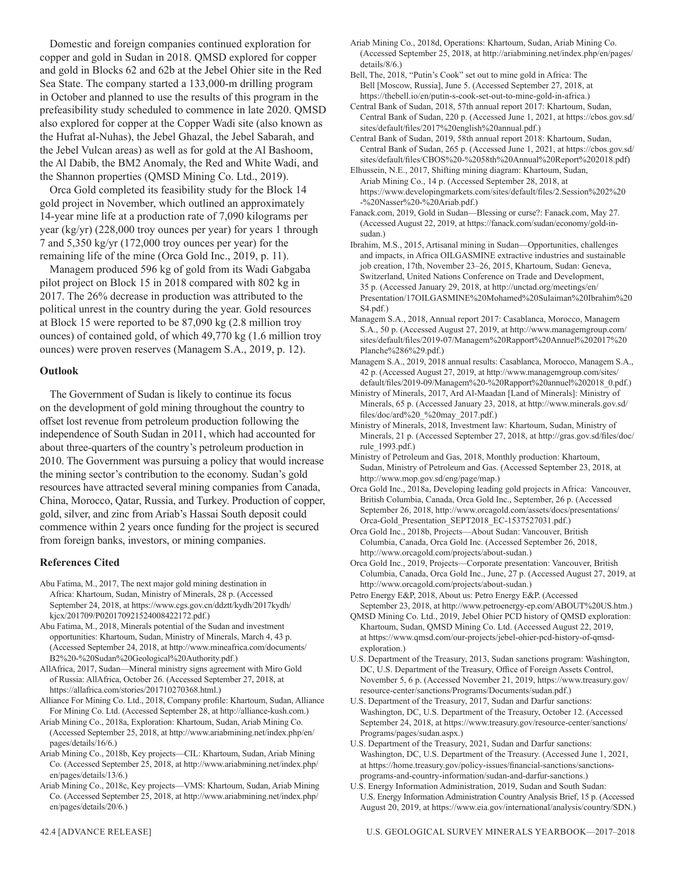Domestic and foreign companies continued exploration for copper and gold in Sudan in 2018. QMSD explored for copper and gold in Blocks 62 and 62b at the Jebel Ohier site in the Red Sea State. The company started a 133,000-m drilling program in October and planned to use the results of this program in the prefeasibility study scheduled to commence in late 2020. QMSD also explored for copper at the Copper Wadi site (also known as the Hufrat al-Nuhas), the Jebel Ghazal, the Jebel Sabarah, and the Jebel Vulcan areas) as well as for gold at the Al Bashoom, the Al Dabib, the BM2 Anomaly, the Red and White Wadi, and the Shannon properties (QMSD Mining Co. Ltd., 2019).

Orca Gold completed its feasibility study for the Block 14 gold project in November, which outlined an approximately 14-year mine life at a production rate of 7,090 kilograms per year (kg/yr) (228,000 troy ounces per year) for years 1 through 7 and 5,350 kg/yr (172,000 troy ounces per year) for the remaining life of the mine (Orca Gold Inc., 2019, p. 11).

Managem produced 596 kg of gold from its Wadi Gabgaba pilot project on Block 15 in 2018 compared with 802 kg in 2017. The 26% decrease in production was attributed to the political unrest in the country during the year. Gold resources at Block 15 were reported to be 87,090 kg (2.8 million troy ounces) of contained gold, of which 49,770 kg (1.6 million troy ounces) were proven reserves (Managem S.A., 2019, p. 12).

#### **Outlook**

The Government of Sudan is likely to continue its focus on the development of gold mining throughout the country to offset lost revenue from petroleum production following the independence of South Sudan in 2011, which had accounted for about three-quarters of the country's petroleum production in 2010. The Government was pursuing a policy that would increase the mining sector's contribution to the economy. Sudan's gold resources have attracted several mining companies from Canada, China, Morocco, Qatar, Russia, and Turkey. Production of copper, gold, silver, and zinc from Ariab's Hassai South deposit could commence within 2 years once funding for the project is secured from foreign banks, investors, or mining companies.

#### **References Cited**

- Abu Fatima, M., 2017, The next major gold mining destination in Africa: Khartoum, Sudan, Ministry of Minerals, 28 p. (Accessed September 24, 2018, at https://www.cgs.gov.cn/ddztt/kydh/2017kydh/ kjcx/201709/P020170921524008422172.pdf.)
- Abu Fatima, M., 2018, Minerals potential of the Sudan and investment opportunities: Khartoum, Sudan, Ministry of Minerals, March 4, 43 p. (Accessed September 24, 2018, at http://www.mineafrica.com/documents/ B2%20-%20Sudan%20Geological%20Authority.pdf.)
- AllAfrica, 2017, Sudan—Mineral ministry signs agreement with Miro Gold of Russia: AllAfrica, October 26. (Accessed September 27, 2018, at https://allafrica.com/stories/201710270368.html.)
- Alliance For Mining Co. Ltd., 2018, Company profile: Khartoum, Sudan, Alliance For Mining Co. Ltd. (Accessed September 28, at http://alliance-kush.com.)
- Ariab Mining Co., 2018a, Exploration: Khartoum, Sudan, Ariab Mining Co. (Accessed September 25, 2018, at http://www.ariabmining.net/index.php/en/ pages/details/16/6.)
- Ariab Mining Co., 2018b, Key projects—CIL: Khartoum, Sudan, Ariab Mining Co. (Accessed September 25, 2018, at http://www.ariabmining.net/index.php/ en/pages/details/13/6.)
- Ariab Mining Co., 2018c, Key projects—VMS: Khartoum, Sudan, Ariab Mining Co. (Accessed September 25, 2018, at http://www.ariabmining.net/index.php/ en/pages/details/20/6.)

Ariab Mining Co., 2018d, Operations: Khartoum, Sudan, Ariab Mining Co. (Accessed September 25, 2018, at http://ariabmining.net/index.php/en/pages/ details/8/6.)

Bell, The, 2018, "Putin's Cook" set out to mine gold in Africa: The Bell [Moscow, Russia], June 5. (Accessed September 27, 2018, at https://thebell.io/en/putin-s-cook-set-out-to-mine-gold-in-africa.)

- Central Bank of Sudan, 2018, 57th annual report 2017: Khartoum, Sudan, Central Bank of Sudan, 220 p. (Accessed June 1, 2021, at https://cbos.gov.sd/ sites/default/files/2017%20english%20annual.pdf.)
- Central Bank of Sudan, 2019, 58th annual report 2018: Khartoum, Sudan, Central Bank of Sudan, 265 p. (Accessed June 1, 2021, at https://cbos.gov.sd/ sites/default/files/CBOS%20-%2058th%20Annual%20Report%202018.pdf)

Elhussein, N.E., 2017, Shifting mining diagram: Khartoum, Sudan, Ariab Mining Co., 14 p. (Accessed September 28, 2018, at https://www.developingmarkets.com/sites/default/files/2.Session%202%20 -%20Nasser%20-%20Ariab.pdf.)

Fanack.com, 2019, Gold in Sudan—Blessing or curse?: Fanack.com, May 27. (Accessed August 22, 2019, at https://fanack.com/sudan/economy/gold-insudan.)

- Ibrahim, M.S., 2015, Artisanal mining in Sudan—Opportunities, challenges and impacts, in Africa OILGASMINE extractive industries and sustainable job creation, 17th, November 23–26, 2015, Khartoum, Sudan: Geneva, Switzerland, United Nations Conference on Trade and Development, 35 p. (Accessed January 29, 2018, at http://unctad.org/meetings/en/ Presentation/17OILGASMINE%20Mohamed%20Sulaiman%20Ibrahim%20 S4.pdf.)
- Managem S.A., 2018, Annual report 2017: Casablanca, Morocco, Managem S.A., 50 p. (Accessed August 27, 2019, at http://www.managemgroup.com/ sites/default/files/2019-07/Managem%20Rapport%20Annuel%202017%20 Planche%286%29.pdf.)

Managem S.A., 2019, 2018 annual results: Casablanca, Morocco, Managem S.A., 42 p. (Accessed August 27, 2019, at http://www.managemgroup.com/sites/ default/files/2019-09/Managem%20-%20Rapport%20annuel%202018\_0.pdf.)

- Ministry of Minerals, 2017, Ard Al-Maadan [Land of Minerals]: Ministry of Minerals, 65 p. (Accessed January 23, 2018, at http://www.minerals.gov.sd/ files/doc/ard%20\_%20may\_2017.pdf.)
- Ministry of Minerals, 2018, Investment law: Khartoum, Sudan, Ministry of Minerals, 21 p. (Accessed September 27, 2018, at http://gras.gov.sd/files/doc/ rule\_1993.pdf.)
- Ministry of Petroleum and Gas, 2018, Monthly production: Khartoum, Sudan, Ministry of Petroleum and Gas. (Accessed September 23, 2018, at http://www.mop.gov.sd/eng/page/map.)

Orca Gold Inc., 2018a, Developing leading gold projects in Africa: Vancouver, British Columbia, Canada, Orca Gold Inc., September, 26 p. (Accessed September 26, 2018, http://www.orcagold.com/assets/docs/presentations/ Orca-Gold\_Presentation\_SEPT2018\_EC-1537527031.pdf.)

- Orca Gold Inc., 2018b, Projects—About Sudan: Vancouver, British Columbia, Canada, Orca Gold Inc. (Accessed September 26, 2018, http://www.orcagold.com/projects/about-sudan.)
- Orca Gold Inc., 2019, Projects—Corporate presentation: Vancouver, British Columbia, Canada, Orca Gold Inc., June, 27 p. (Accessed August 27, 2019, at http://www.orcagold.com/projects/about-sudan.)
- Petro Energy E&P, 2018, About us: Petro Energy E&P. (Accessed September 23, 2018, at http://www.petroenergy-ep.com/ABOUT%20US.htm.)
- QMSD Mining Co. Ltd., 2019, Jebel Ohier PCD history of QMSD exploration: Khartoum, Sudan, QMSD Mining Co. Ltd. (Accessed August 22, 2019, at https://www.qmsd.com/our-projects/jebel-ohier-pcd-history-of-qmsdexploration.)
- U.S. Department of the Treasury, 2013, Sudan sanctions program: Washington, DC, U.S. Department of the Treasury, Office of Foreign Assets Control, November 5, 6 p. (Accessed November 21, 2019, https://www.treasury.gov/ resource-center/sanctions/Programs/Documents/sudan.pdf.)
- U.S. Department of the Treasury, 2017, Sudan and Darfur sanctions: Washington, DC, U.S. Department of the Treasury, October 12. (Accessed September 24, 2018, at https://www.treasury.gov/resource-center/sanctions/ Programs/pages/sudan.aspx.)
- U.S. Department of the Treasury, 2021, Sudan and Darfur sanctions: Washington, DC, U.S. Department of the Treasury. (Accessed June 1, 2021, at https://home.treasury.gov/policy-issues/financial-sanctions/sanctionsprograms-and-country-information/sudan-and-darfur-sanctions.)
- U.S. Energy Information Administration, 2019, Sudan and South Sudan: U.S. Energy Information Administration Country Analysis Brief, 15 p. (Accessed August 20, 2019, at https://www.eia.gov/international/analysis/country/SDN.)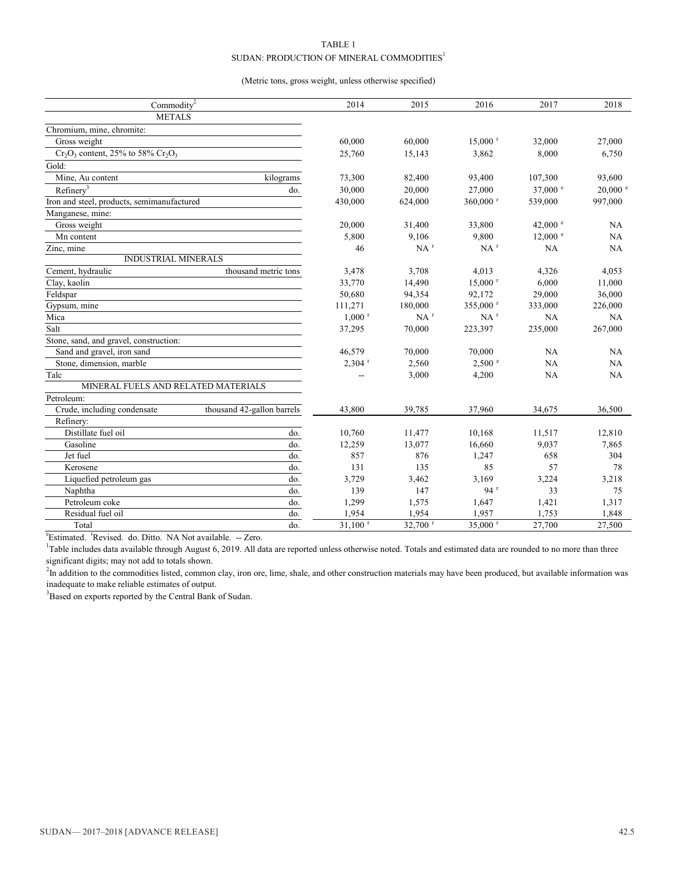#### TABLE 1 SUDAN: PRODUCTION OF MINERAL COMMODITIES<sup>1</sup>

#### (Metric tons, gross weight, unless otherwise specified)

| Commodity <sup>2</sup>                                    |                      | 2014                  | 2015                  | 2016                  | 2017               | 2018                |
|-----------------------------------------------------------|----------------------|-----------------------|-----------------------|-----------------------|--------------------|---------------------|
| <b>METALS</b>                                             |                      |                       |                       |                       |                    |                     |
| Chromium, mine, chromite:                                 |                      |                       |                       |                       |                    |                     |
| Gross weight                                              |                      | 60,000                | 60,000                | $15,000$ <sup>r</sup> | 32,000             | 27,000              |
| $Cr_2O_3$ content, 25% to 58% $Cr_2O_3$                   |                      | 25,760                | 15,143                | 3,862                 | 8,000              | 6,750               |
| Gold:                                                     |                      |                       |                       |                       |                    |                     |
| Mine. Au content                                          | kilograms            | 73,300                | 82,400                | 93,400                | 107,300            | 93,600              |
| Refinery <sup>3</sup>                                     | do.                  | 30,000                | 20,000                | 27,000                | 37,000 $^{\circ}$  | $20,000$ $^{\circ}$ |
| Iron and steel, products, semimanufactured                |                      | 430,000               | 624,000               | 360,000 r             | 539,000            | 997,000             |
| Manganese, mine:                                          |                      |                       |                       |                       |                    |                     |
| Gross weight                                              |                      | 20,000                | 31,400                | 33,800                | 42,000 $^{\circ}$  | NA                  |
| Mn content                                                |                      | 5,800                 | 9,106                 | 9.800                 | $12,000$ $\degree$ | NA                  |
| Zinc, mine                                                |                      | 46                    | $NA$ <sup>r</sup>     | $NA$ <sup>r</sup>     | NA                 | NA                  |
| INDUSTRIAL MINERALS                                       |                      |                       |                       |                       |                    |                     |
| Cement, hydraulic                                         | thousand metric tons | 3,478                 | 3,708                 | 4,013                 | 4,326              | 4,053               |
| Clay, kaolin                                              |                      | 33,770                | 14,490                | $15,000$ <sup>r</sup> | 6,000              | 11,000              |
| Feldspar                                                  |                      | 50,680                | 94,354                | 92,172                | 29,000             | 36,000              |
| Gypsum, mine                                              |                      | 111,271               | 180,000               | 355,000 r             | 333,000            | 226,000             |
| Mica                                                      |                      | $1,000$ <sup>r</sup>  | $NA$ <sup>r</sup>     | $NA$ <sup>r</sup>     | NA                 | NA                  |
| Salt                                                      |                      | 37,295                | 70,000                | 223,397               | 235,000            | 267,000             |
| Stone, sand, and gravel, construction:                    |                      |                       |                       |                       |                    |                     |
| Sand and gravel, iron sand                                |                      | 46,579                | 70,000                | 70,000                | NA                 | NA                  |
| Stone, dimension, marble                                  |                      | $2,304$ <sup>r</sup>  | 2,560                 | 2,500 °               | NA                 | NA                  |
| Talc                                                      |                      |                       | 3,000                 | 4,200                 | NA                 | NA                  |
| MINERAL FUELS AND RELATED MATERIALS                       |                      |                       |                       |                       |                    |                     |
| Petroleum:                                                |                      |                       |                       |                       |                    |                     |
| Crude, including condensate<br>thousand 42-gallon barrels |                      | 43,800                | 39,785                | 37,960                | 34,675             | 36,500              |
| Refinery:                                                 |                      |                       |                       |                       |                    |                     |
| Distillate fuel oil                                       | do.                  | 10,760                | 11,477                | 10,168                | 11,517             | 12,810              |
| Gasoline                                                  | do.                  | 12,259                | 13,077                | 16,660                | 9,037              | 7,865               |
| Jet fuel                                                  | do.                  | 857                   | 876                   | 1,247                 | 658                | 304                 |
| Kerosene                                                  | do.                  | 131                   | 135                   | 85                    | 57                 | 78                  |
| Liquefied petroleum gas                                   | do.                  | 3,729                 | 3,462                 | 3,169                 | 3,224              | 3,218               |
| Naphtha                                                   | do.                  | 139                   | 147                   | 94 <sup>r</sup>       | 33                 | 75                  |
| Petroleum coke                                            | do.                  | 1,299                 | 1,575                 | 1,647                 | 1,421              | 1,317               |
| Residual fuel oil                                         | do.                  | 1,954                 | 1,954                 | 1,957                 | 1,753              | 1,848               |
| Total                                                     | do.                  | $31,100$ <sup>r</sup> | $32.700$ <sup>r</sup> | 35,000 <sup>r</sup>   | 27,700             | 27,500              |

<sup>e</sup>Estimated. <sup>r</sup>Revised. do. Ditto. NA Not available. -- Zero.

<sup>1</sup>Table includes data available through August 6, 2019. All data are reported unless otherwise noted. Totals and estimated data are rounded to no more than three significant digits; may not add to totals shown.

<sup>2</sup>In addition to the commodities listed, common clay, iron ore, lime, shale, and other construction materials may have been produced, but available information was inadequate to make reliable estimates of output.

<sup>3</sup>Based on exports reported by the Central Bank of Sudan.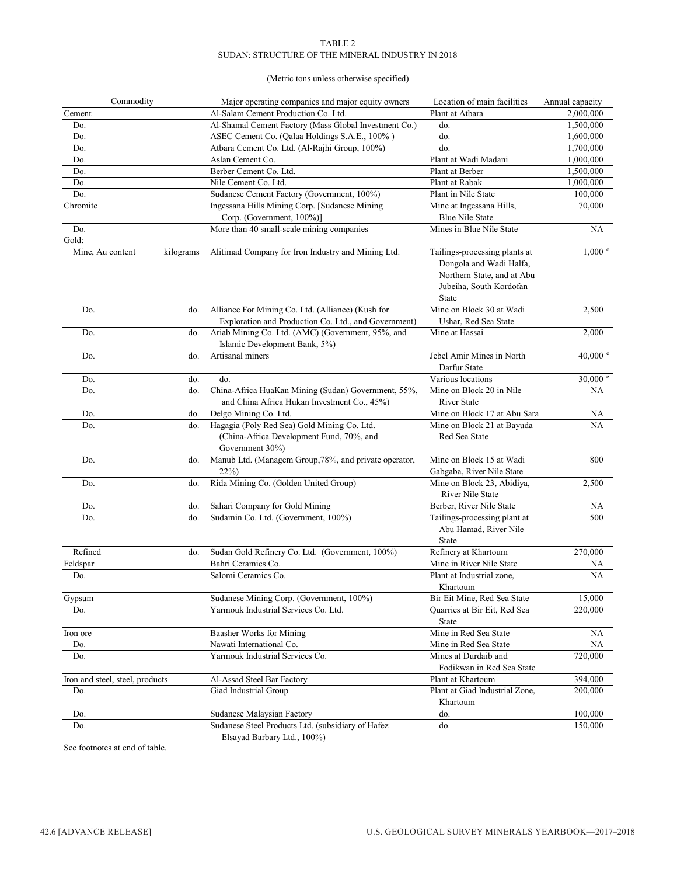#### TABLE 2 SUDAN: STRUCTURE OF THE MINERAL INDUSTRY IN 2018

#### (Metric tons unless otherwise specified)

| Commodity                       |           | Major operating companies and major equity owners                                                                                          | Location of main facilities                                                                                                       | Annual capacity    |
|---------------------------------|-----------|--------------------------------------------------------------------------------------------------------------------------------------------|-----------------------------------------------------------------------------------------------------------------------------------|--------------------|
| Cement                          |           | Al-Salam Cement Production Co. Ltd.                                                                                                        | Plant at Atbara                                                                                                                   | 2,000,000          |
| Do.                             |           | Al-Shamal Cement Factory (Mass Global Investment Co.)                                                                                      | do.                                                                                                                               | 1,500,000          |
| Do.                             |           | ASEC Cement Co. (Qalaa Holdings S.A.E., 100%)                                                                                              | do.                                                                                                                               | 1,600,000          |
| Do.                             |           | Atbara Cement Co. Ltd. (Al-Rajhi Group, 100%)                                                                                              | do.                                                                                                                               | 1,700,000          |
| Do.                             |           | Aslan Cement Co.                                                                                                                           | Plant at Wadi Madani                                                                                                              | 1,000,000          |
| Do.                             |           | Berber Cement Co. Ltd.                                                                                                                     | Plant at Berber                                                                                                                   | 1,500,000          |
| Do.                             |           | Nile Cement Co. Ltd.                                                                                                                       | Plant at Rabak                                                                                                                    | 1,000,000          |
| Do.                             |           | Sudanese Cement Factory (Government, 100%)                                                                                                 | Plant in Nile State                                                                                                               | 100,000            |
| Chromite                        |           | Ingessana Hills Mining Corp. [Sudanese Mining<br>Corp. (Government, 100%)]                                                                 | Mine at Ingessana Hills,<br><b>Blue Nile State</b>                                                                                | 70,000             |
| Do.                             |           | More than 40 small-scale mining companies                                                                                                  | Mines in Blue Nile State                                                                                                          | NA                 |
| Gold:                           |           |                                                                                                                                            |                                                                                                                                   |                    |
| Mine, Au content                | kilograms | Alitimad Company for Iron Industry and Mining Ltd.                                                                                         | Tailings-processing plants at<br>Dongola and Wadi Halfa,<br>Northern State, and at Abu<br>Jubeiha, South Kordofan<br><b>State</b> | $1,000$ $^{\circ}$ |
| Do.                             | do.       | Alliance For Mining Co. Ltd. (Alliance) (Kush for                                                                                          | Mine on Block 30 at Wadi                                                                                                          | 2,500              |
| Do.                             | do.       | Exploration and Production Co. Ltd., and Government)<br>Ariab Mining Co. Ltd. (AMC) (Government, 95%, and<br>Islamic Development Bank, 5%) | Ushar, Red Sea State<br>Mine at Hassai                                                                                            | 2,000              |
| Do.                             | do.       | Artisanal miners                                                                                                                           | Jebel Amir Mines in North<br>Darfur State                                                                                         | 40,000 $^{\circ}$  |
| Do.                             | do.       | do.                                                                                                                                        | Various locations                                                                                                                 | $30,000$ e         |
| Do.                             | do.       | China-Africa HuaKan Mining (Sudan) Government, 55%,<br>and China Africa Hukan Investment Co., 45%)                                         | Mine on Block 20 in Nile<br><b>River State</b>                                                                                    | NA                 |
| Do.                             | do.       | Delgo Mining Co. Ltd.                                                                                                                      | Mine on Block 17 at Abu Sara                                                                                                      | NA                 |
| Do.                             | do.       | Hagagia (Poly Red Sea) Gold Mining Co. Ltd.<br>(China-Africa Development Fund, 70%, and<br>Government 30%)                                 | Mine on Block 21 at Bayuda<br>Red Sea State                                                                                       | NA                 |
| Do.                             | do.       | Manub Ltd. (Managem Group, 78%, and private operator,<br>22%)                                                                              | Mine on Block 15 at Wadi<br>Gabgaba, River Nile State                                                                             | 800                |
| Do.                             | do.       | Rida Mining Co. (Golden United Group)                                                                                                      | Mine on Block 23, Abidiya,<br>River Nile State                                                                                    | 2,500              |
| Do.                             | do.       | Sahari Company for Gold Mining                                                                                                             | Berber, River Nile State                                                                                                          | NA                 |
| Do.                             | do.       | Sudamin Co. Ltd. (Government, 100%)                                                                                                        | Tailings-processing plant at<br>Abu Hamad, River Nile<br><b>State</b>                                                             | 500                |
| Refined                         | do.       | Sudan Gold Refinery Co. Ltd. (Government, 100%)                                                                                            | Refinery at Khartoum                                                                                                              | 270,000            |
| Feldspar                        |           | Bahri Ceramics Co.                                                                                                                         | Mine in River Nile State                                                                                                          | NA                 |
| Do.                             |           | Salomi Ceramics Co.                                                                                                                        | Plant at Industrial zone,<br>Khartoum                                                                                             | NA                 |
| Gypsum                          |           | Sudanese Mining Corp. (Government, 100%)                                                                                                   | Bir Eit Mine, Red Sea State                                                                                                       | 15,000             |
| Do.                             |           | Yarmouk Industrial Services Co. Ltd.                                                                                                       | Quarries at Bir Eit, Red Sea<br>State                                                                                             | 220,000            |
| Iron ore                        |           | Baasher Works for Mining                                                                                                                   | Mine in Red Sea State                                                                                                             | NА                 |
| Do.                             |           | Nawati International Co.                                                                                                                   | Mine in Red Sea State                                                                                                             | NА                 |
| Do.                             |           | Yarmouk Industrial Services Co.                                                                                                            | Mines at Durdaib and<br>Fodikwan in Red Sea State                                                                                 | 720,000            |
| Iron and steel, steel, products |           | Al-Assad Steel Bar Factory                                                                                                                 | Plant at Khartoum                                                                                                                 | 394,000            |
| Do.                             |           | Giad Industrial Group                                                                                                                      | Plant at Giad Industrial Zone,<br>Khartoum                                                                                        | 200,000            |
| Do.                             |           | Sudanese Malaysian Factory                                                                                                                 | do.                                                                                                                               | 100,000            |
| Do.                             |           | Sudanese Steel Products Ltd. (subsidiary of Hafez<br>Elsayad Barbary Ltd., 100%)                                                           | do.                                                                                                                               | 150,000            |

See footnotes at end of table.